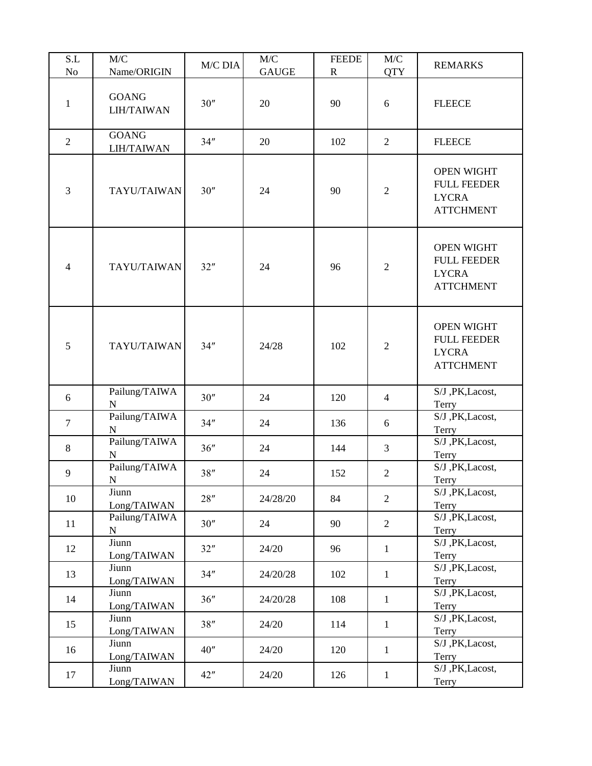| S.L<br>N <sub>o</sub> | M/C<br>Name/ORIGIN           | M/C DIA | M/C<br><b>GAUGE</b> | <b>FEEDE</b><br>$\mathbf{R}$ | M/C<br><b>QTY</b> | <b>REMARKS</b>                                                              |
|-----------------------|------------------------------|---------|---------------------|------------------------------|-------------------|-----------------------------------------------------------------------------|
| $\mathbf{1}$          | <b>GOANG</b><br>LIH/TAIWAN   | 30''    | 20                  | 90                           | 6                 | <b>FLEECE</b>                                                               |
| $\overline{2}$        | <b>GOANG</b><br>LIH/TAIWAN   | 34"     | 20                  | 102                          | $\overline{2}$    | <b>FLEECE</b>                                                               |
| 3                     | TAYU/TAIWAN                  | 30''    | 24                  | 90                           | $\overline{2}$    | <b>OPEN WIGHT</b><br><b>FULL FEEDER</b><br><b>LYCRA</b><br><b>ATTCHMENT</b> |
| $\overline{4}$        | TAYU/TAIWAN                  | 32"     | 24                  | 96                           | $\overline{2}$    | <b>OPEN WIGHT</b><br><b>FULL FEEDER</b><br><b>LYCRA</b><br><b>ATTCHMENT</b> |
| 5                     | TAYU/TAIWAN                  | 34"     | 24/28               | 102                          | $\overline{2}$    | <b>OPEN WIGHT</b><br><b>FULL FEEDER</b><br><b>LYCRA</b><br><b>ATTCHMENT</b> |
| 6                     | Pailung/TAIWA<br>$\mathbf N$ | 30''    | 24                  | 120                          | $\overline{4}$    | S/J , PK, Lacost,<br>Terry                                                  |
| $\tau$                | Pailung/TAIWA<br>${\bf N}$   | 34"     | 24                  | 136                          | 6                 | S/J , PK, Lacost,<br>Terry                                                  |
| 8                     | Pailung/TAIWA<br>N           | 36"     | 24                  | 144                          | $\overline{3}$    | S/J , PK, Lacost,<br>Terry                                                  |
| 9                     | Pailung/TAIWA<br>${\bf N}$   | 38"     | 24                  | 152                          | $\overline{2}$    | S/J , PK, Lacost,<br>Terry                                                  |
| 10                    | Jiunn<br>Long/TAIWAN         | 28"     | 24/28/20            | 84                           | $\overline{2}$    | S/J , PK, Lacost,<br>Terry                                                  |
| 11                    | Pailung/TAIWA<br>$\mathbf N$ | 30''    | 24                  | 90                           | $\overline{2}$    | S/J , PK, Lacost,<br>Terry                                                  |
| 12                    | Jiunn<br>Long/TAIWAN         | 32"     | 24/20               | 96                           | $\mathbf{1}$      | S/J , PK, Lacost,<br>Terry                                                  |
| 13                    | Jiunn<br>Long/TAIWAN         | 34"     | 24/20/28            | 102                          | $\mathbf{1}$      | S/J , PK, Lacost,<br>Terry                                                  |
| 14                    | Jiunn<br>Long/TAIWAN         | 36"     | 24/20/28            | 108                          | $\mathbf{1}$      | S/J , PK, Lacost,<br>Terry                                                  |
| 15                    | Jiunn<br>Long/TAIWAN         | 38"     | 24/20               | 114                          | $\mathbf{1}$      | S/J , PK, Lacost,<br>Terry                                                  |
| 16                    | Jiunn<br>Long/TAIWAN         | 40"     | 24/20               | 120                          | $\mathbf{1}$      | S/J , PK, Lacost,<br>Terry                                                  |
| 17                    | Jiunn<br>Long/TAIWAN         | 42"     | 24/20               | 126                          | $\mathbf{1}$      | S/J , PK, Lacost,<br>Terry                                                  |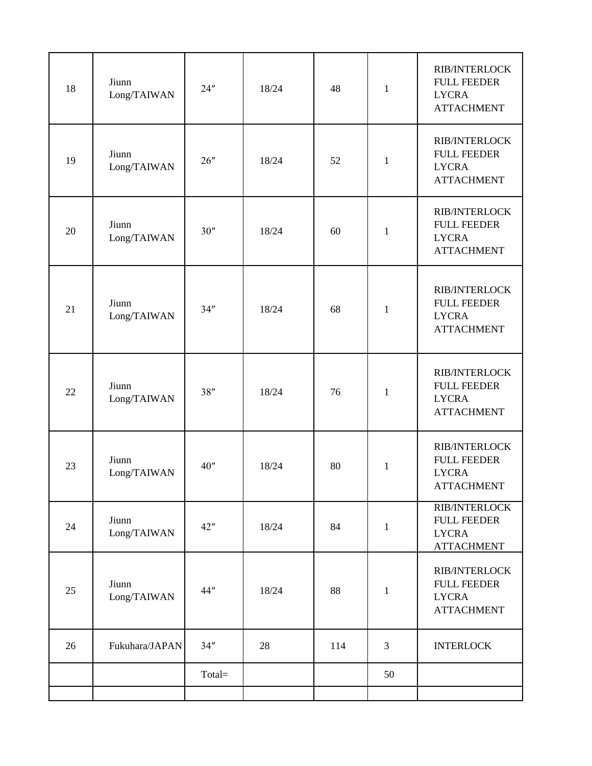| 18 | Jiunn<br>Long/TAIWAN       | 24"    | 18/24 | 48  | $\mathbf{1}$ | <b>RIB/INTERLOCK</b><br><b>FULL FEEDER</b><br><b>LYCRA</b><br><b>ATTACHMENT</b> |
|----|----------------------------|--------|-------|-----|--------------|---------------------------------------------------------------------------------|
| 19 | Jiunn<br>Long/TAIWAN       | 26"    | 18/24 | 52  | $\mathbf{1}$ | <b>RIB/INTERLOCK</b><br><b>FULL FEEDER</b><br><b>LYCRA</b><br><b>ATTACHMENT</b> |
| 20 | Jiunn<br>Long/TAIWAN       | 30''   | 18/24 | 60  | $\mathbf{1}$ | <b>RIB/INTERLOCK</b><br><b>FULL FEEDER</b><br><b>LYCRA</b><br><b>ATTACHMENT</b> |
| 21 | Jiunn<br>Long/TAIWAN       | 34"    | 18/24 | 68  | $\mathbf{1}$ | <b>RIB/INTERLOCK</b><br><b>FULL FEEDER</b><br><b>LYCRA</b><br><b>ATTACHMENT</b> |
| 22 | Jiunn<br>Long/TAIWAN       | 38"    | 18/24 | 76  | $\mathbf{1}$ | <b>RIB/INTERLOCK</b><br><b>FULL FEEDER</b><br><b>LYCRA</b><br><b>ATTACHMENT</b> |
| 23 | Jiunn<br>Long/TAIWAN       | 40"    | 18/24 | 80  | $\mathbf{1}$ | <b>RIB/INTERLOCK</b><br><b>FULL FEEDER</b><br><b>LYCRA</b><br><b>ATTACHMENT</b> |
| 24 | Jiunn<br>$\rm Long/TAIWAN$ | 42"    | 18/24 | 84  | $\mathbf{1}$ | <b>RIB/INTERLOCK</b><br><b>FULL FEEDER</b><br><b>LYCRA</b><br><b>ATTACHMENT</b> |
| 25 | Jiunn<br>Long/TAIWAN       | 44"    | 18/24 | 88  | $\mathbf{1}$ | <b>RIB/INTERLOCK</b><br><b>FULL FEEDER</b><br><b>LYCRA</b><br><b>ATTACHMENT</b> |
| 26 | Fukuhara/JAPAN             | 34"    | 28    | 114 | 3            | <b>INTERLOCK</b>                                                                |
|    |                            | Total= |       |     | 50           |                                                                                 |
|    |                            |        |       |     |              |                                                                                 |